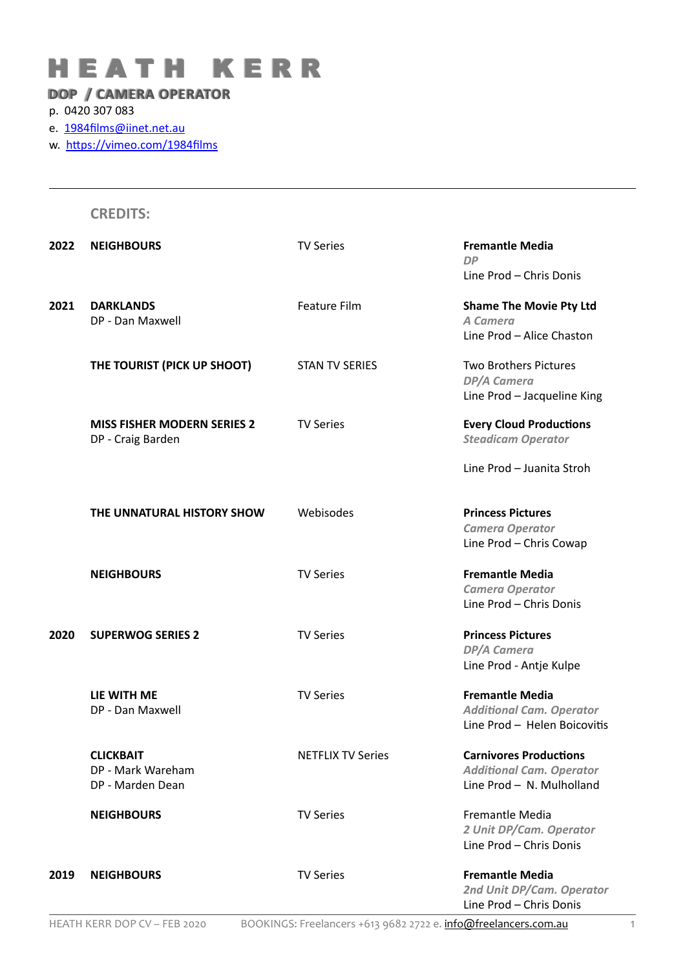## H E A T H K E R R

## **DOP / CAMERA OPERATOR**

## p. 0420 307 083

e. 1984films@iinet.net.au

w. https://vimeo.com/1984films

|      | <b>CREDITS:</b>                    |                                                                 |                                                      |
|------|------------------------------------|-----------------------------------------------------------------|------------------------------------------------------|
| 2022 | <b>NEIGHBOURS</b>                  | <b>TV Series</b>                                                | <b>Fremantle Media</b><br><b>DP</b>                  |
|      |                                    |                                                                 | Line Prod - Chris Donis                              |
| 2021 | <b>DARKLANDS</b>                   | <b>Feature Film</b>                                             | <b>Shame The Movie Pty Ltd</b>                       |
|      | DP - Dan Maxwell                   |                                                                 | A Camera                                             |
|      |                                    |                                                                 | Line Prod - Alice Chaston                            |
|      | THE TOURIST (PICK UP SHOOT)        | <b>STAN TV SERIES</b>                                           | <b>Two Brothers Pictures</b>                         |
|      |                                    |                                                                 | <b>DP/A Camera</b>                                   |
|      |                                    |                                                                 | Line Prod - Jacqueline King                          |
|      | <b>MISS FISHER MODERN SERIES 2</b> | <b>TV Series</b>                                                | <b>Every Cloud Productions</b>                       |
|      | DP - Craig Barden                  |                                                                 | <b>Steadicam Operator</b>                            |
|      |                                    |                                                                 | Line Prod - Juanita Stroh                            |
|      | THE UNNATURAL HISTORY SHOW         | Webisodes                                                       | <b>Princess Pictures</b>                             |
|      |                                    |                                                                 | <b>Camera Operator</b>                               |
|      |                                    |                                                                 | Line Prod - Chris Cowap                              |
|      | <b>NEIGHBOURS</b>                  | <b>TV Series</b>                                                | <b>Fremantle Media</b>                               |
|      |                                    |                                                                 | <b>Camera Operator</b>                               |
|      |                                    |                                                                 | Line Prod - Chris Donis                              |
| 2020 | <b>SUPERWOG SERIES 2</b>           | <b>TV Series</b>                                                | <b>Princess Pictures</b>                             |
|      |                                    |                                                                 | <b>DP/A Camera</b>                                   |
|      |                                    |                                                                 | Line Prod - Antje Kulpe                              |
|      | LIE WITH ME                        | <b>TV Series</b>                                                | <b>Fremantle Media</b>                               |
|      | DP - Dan Maxwell                   |                                                                 | <b>Additional Cam. Operator</b>                      |
|      |                                    |                                                                 | Line Prod - Helen Boicovitis                         |
|      | <b>CLICKBAIT</b>                   | <b>NETFLIX TV Series</b>                                        | <b>Carnivores Productions</b>                        |
|      | DP - Mark Wareham                  |                                                                 | <b>Additional Cam. Operator</b>                      |
|      | DP - Marden Dean                   |                                                                 | Line Prod - N. Mulholland                            |
|      | <b>NEIGHBOURS</b>                  | <b>TV Series</b>                                                | Fremantle Media                                      |
|      |                                    |                                                                 | 2 Unit DP/Cam. Operator                              |
|      |                                    |                                                                 | Line Prod - Chris Donis                              |
| 2019 | <b>NEIGHBOURS</b>                  | <b>TV Series</b>                                                | <b>Fremantle Media</b>                               |
|      |                                    |                                                                 | 2nd Unit DP/Cam. Operator<br>Line Prod - Chris Donis |
|      | HEATH KERR DOP CV - FEB 2020       | BOOKINGS: Freelancers +613 9682 2722 e. info@freelancers.com.au |                                                      |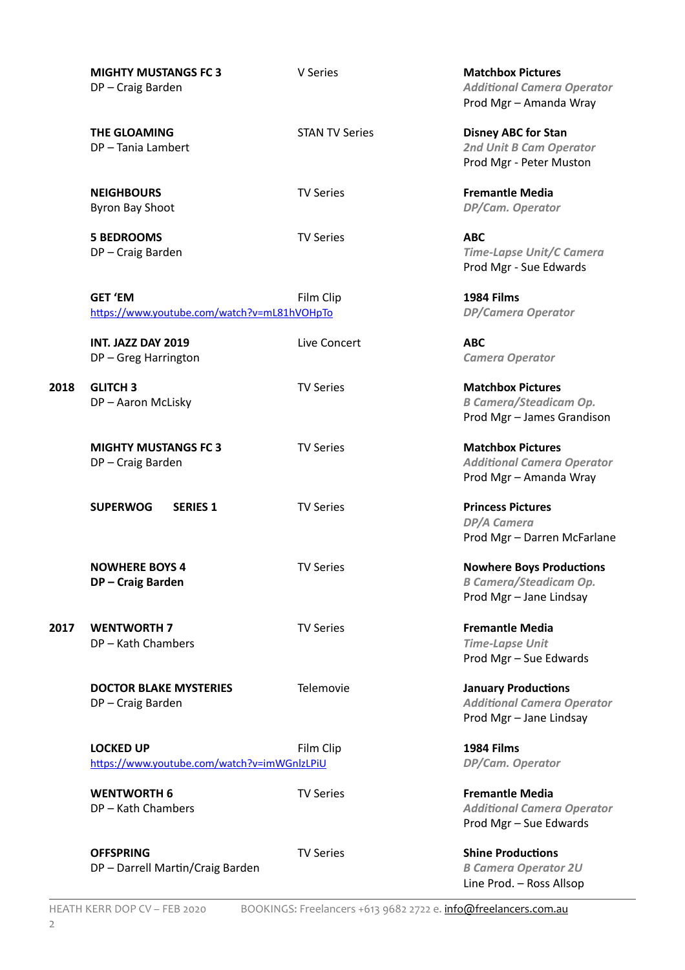|      | <b>MIGHTY MUSTANGS FC 3</b><br>DP-Craig Barden                  | V Series              | <b>Matchbox Pictures</b><br><b>Additional Camera Operator</b><br>Prod Mgr - Amanda Wray     |
|------|-----------------------------------------------------------------|-----------------------|---------------------------------------------------------------------------------------------|
|      | <b>THE GLOAMING</b><br>DP-Tania Lambert                         | <b>STAN TV Series</b> | <b>Disney ABC for Stan</b><br>2nd Unit B Cam Operator<br>Prod Mgr - Peter Muston            |
|      | <b>NEIGHBOURS</b><br><b>Byron Bay Shoot</b>                     | <b>TV Series</b>      | <b>Fremantle Media</b><br>DP/Cam. Operator                                                  |
|      | <b>5 BEDROOMS</b><br>DP-Craig Barden                            | <b>TV Series</b>      | <b>ABC</b><br><b>Time-Lapse Unit/C Camera</b><br>Prod Mgr - Sue Edwards                     |
|      | <b>GET 'EM</b><br>https://www.youtube.com/watch?v=mL81hVOHpTo   | Film Clip             | 1984 Films<br><b>DP/Camera Operator</b>                                                     |
|      | INT. JAZZ DAY 2019<br>DP-Greg Harrington                        | Live Concert          | <b>ABC</b><br><b>Camera Operator</b>                                                        |
| 2018 | <b>GLITCH 3</b><br>DP-Aaron McLisky                             | <b>TV Series</b>      | <b>Matchbox Pictures</b><br><b>B Camera/Steadicam Op.</b><br>Prod Mgr - James Grandison     |
|      | <b>MIGHTY MUSTANGS FC 3</b><br>DP-Craig Barden                  | <b>TV Series</b>      | <b>Matchbox Pictures</b><br><b>Additional Camera Operator</b><br>Prod Mgr - Amanda Wray     |
|      | <b>SUPERWOG</b><br><b>SERIES 1</b>                              | <b>TV Series</b>      | <b>Princess Pictures</b><br>DP/A Camera<br>Prod Mgr - Darren McFarlane                      |
|      | <b>NOWHERE BOYS 4</b><br>DP-Craig Barden                        | <b>TV Series</b>      | <b>Nowhere Boys Productions</b><br><b>B Camera/Steadicam Op.</b><br>Prod Mgr - Jane Lindsay |
| 2017 | <b>WENTWORTH 7</b><br>DP-Kath Chambers                          | <b>TV Series</b>      | <b>Fremantle Media</b><br><b>Time-Lapse Unit</b><br>Prod Mgr - Sue Edwards                  |
|      | <b>DOCTOR BLAKE MYSTERIES</b><br>DP-Craig Barden                | Telemovie             | <b>January Productions</b><br><b>Additional Camera Operator</b><br>Prod Mgr - Jane Lindsay  |
|      | <b>LOCKED UP</b><br>https://www.youtube.com/watch?v=imWGnlzLPiU | Film Clip             | 1984 Films<br>DP/Cam. Operator                                                              |
|      | <b>WENTWORTH 6</b><br>DP-Kath Chambers                          | <b>TV Series</b>      | <b>Fremantle Media</b><br><b>Additional Camera Operator</b><br>Prod Mgr - Sue Edwards       |
|      | <b>OFFSPRING</b><br>DP - Darrell Martin/Craig Barden            | <b>TV Series</b>      | <b>Shine Productions</b><br><b>B Camera Operator 2U</b><br>Line Prod. - Ross Allsop         |

HEATH KERR DOP CV – FEB 2020 BOOKINGS: Freelancers +613 9682 2722 e. info@freelancers.com.au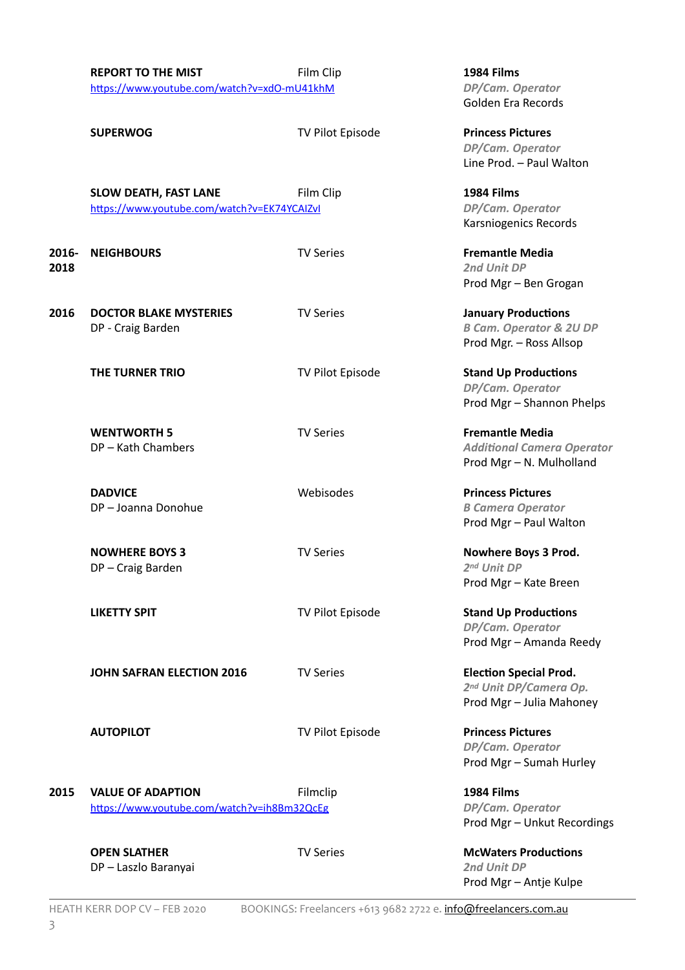|               | <b>REPORT TO THE MIST</b><br>Film Clip<br>https://www.youtube.com/watch?v=xdO-mU41khM |                  | 1984 Films<br>DP/Cam. Operator<br>Golden Era Records                                        |
|---------------|---------------------------------------------------------------------------------------|------------------|---------------------------------------------------------------------------------------------|
|               | <b>SUPERWOG</b>                                                                       | TV Pilot Episode | <b>Princess Pictures</b><br>DP/Cam. Operator<br>Line Prod. - Paul Walton                    |
|               | <b>SLOW DEATH, FAST LANE</b><br>https://www.youtube.com/watch?v=EK74YCAIZvI           | Film Clip        | 1984 Films<br>DP/Cam. Operator<br>Karsniogenics Records                                     |
| 2016-<br>2018 | <b>NEIGHBOURS</b>                                                                     | <b>TV Series</b> | <b>Fremantle Media</b><br>2nd Unit DP<br>Prod Mgr - Ben Grogan                              |
| 2016          | <b>DOCTOR BLAKE MYSTERIES</b><br>DP - Craig Barden                                    | <b>TV Series</b> | <b>January Productions</b><br><b>B Cam. Operator &amp; 2U DP</b><br>Prod Mgr. - Ross Allsop |
|               | THE TURNER TRIO                                                                       | TV Pilot Episode | <b>Stand Up Productions</b><br>DP/Cam. Operator<br>Prod Mgr - Shannon Phelps                |
|               | <b>WENTWORTH 5</b><br>DP-Kath Chambers                                                | <b>TV Series</b> | <b>Fremantle Media</b><br><b>Additional Camera Operator</b><br>Prod Mgr - N. Mulholland     |
|               | <b>DADVICE</b><br>DP-Joanna Donohue                                                   | Webisodes        | <b>Princess Pictures</b><br><b>B Camera Operator</b><br>Prod Mgr - Paul Walton              |
|               | <b>NOWHERE BOYS 3</b><br>DP-Craig Barden                                              | <b>TV Series</b> | Nowhere Boys 3 Prod.<br>2nd Unit DP<br>Prod Mgr - Kate Breen                                |
|               | <b>LIKETTY SPIT</b>                                                                   | TV Pilot Episode | <b>Stand Up Productions</b><br>DP/Cam. Operator<br>Prod Mgr - Amanda Reedy                  |
|               | <b>JOHN SAFRAN ELECTION 2016</b>                                                      | <b>TV Series</b> | <b>Election Special Prod.</b><br>2nd Unit DP/Camera Op.<br>Prod Mgr - Julia Mahoney         |
|               | <b>AUTOPILOT</b>                                                                      | TV Pilot Episode | <b>Princess Pictures</b><br>DP/Cam. Operator<br>Prod Mgr - Sumah Hurley                     |
| 2015          | <b>VALUE OF ADAPTION</b><br>https://www.youtube.com/watch?v=ih8Bm32QcEg               | Filmclip         | 1984 Films<br>DP/Cam. Operator<br>Prod Mgr - Unkut Recordings                               |
|               | <b>OPEN SLATHER</b><br>DP - Laszlo Baranyai                                           | <b>TV Series</b> | <b>McWaters Productions</b><br>2nd Unit DP<br>Prod Mgr - Antje Kulpe                        |

HEATH KERR DOP CV – FEB 2020 BOOKINGS: Freelancers +613 9682 2722 e. info@freelancers.com.au